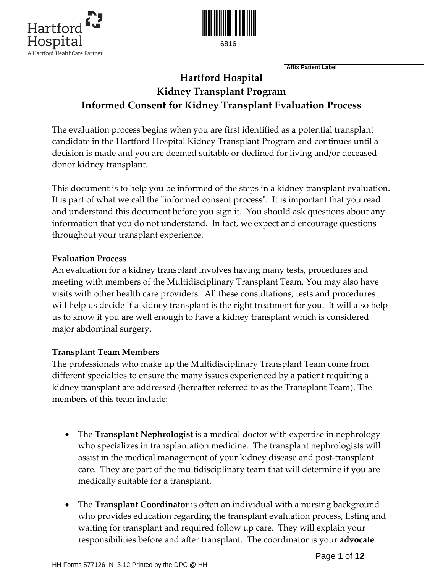



**Affix Patient Label** 

# **Hartford Hospital Kidney Transplant Program Informed Consent for Kidney Transplant Evaluation Process**

The evaluation process begins when you are first identified as a potential transplant candidate in the Hartford Hospital Kidney Transplant Program and continues until a decision is made and you are deemed suitable or declined for living and/or deceased donor kidney transplant.

This document is to help you be informed of the steps in a kidney transplant evaluation. It is part of what we call the "informed consent process". It is important that you read and understand this document before you sign it. You should ask questions about any information that you do not understand. In fact, we expect and encourage questions throughout your transplant experience.

#### **Evaluation Process**

An evaluation for a kidney transplant involves having many tests, procedures and meeting with members of the Multidisciplinary Transplant Team. You may also have visits with other health care providers. All these consultations, tests and procedures will help us decide if a kidney transplant is the right treatment for you. It will also help us to know if you are well enough to have a kidney transplant which is considered major abdominal surgery.

### **Transplant Team Members**

The professionals who make up the Multidisciplinary Transplant Team come from different specialties to ensure the many issues experienced by a patient requiring a kidney transplant are addressed (hereafter referred to as the Transplant Team). The members of this team include:

- The **Transplant Nephrologist** is a medical doctor with expertise in nephrology who specializes in transplantation medicine. The transplant nephrologists will assist in the medical management of your kidney disease and post‐transplant care. They are part of the multidisciplinary team that will determine if you are medically suitable for a transplant.
- The **Transplant Coordinator** is often an individual with a nursing background who provides education regarding the transplant evaluation process, listing and waiting for transplant and required follow up care. They will explain your responsibilities before and after transplant. The coordinator is your **advocate**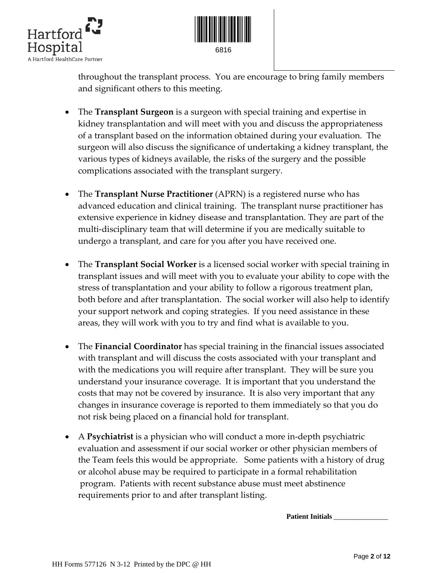



throughout the transplant process. You are encourage to bring family members and significant others to this meeting.

- The **Transplant Surgeon** is a surgeon with special training and expertise in kidney transplantation and will meet with you and discuss the appropriateness of a transplant based on the information obtained during your evaluation. The surgeon will also discuss the significance of undertaking a kidney transplant, the various types of kidneys available, the risks of the surgery and the possible complications associated with the transplant surgery.
- The **Transplant Nurse Practitioner** (APRN) is a registered nurse who has advanced education and clinical training. The transplant nurse practitioner has extensive experience in kidney disease and transplantation. They are part of the multi‐disciplinary team that will determine if you are medically suitable to undergo a transplant, and care for you after you have received one.
- The **Transplant Social Worker** is a licensed social worker with special training in transplant issues and will meet with you to evaluate your ability to cope with the stress of transplantation and your ability to follow a rigorous treatment plan, both before and after transplantation. The social worker will also help to identify your support network and coping strategies. If you need assistance in these areas, they will work with you to try and find what is available to you.
- The **Financial Coordinator** has special training in the financial issues associated with transplant and will discuss the costs associated with your transplant and with the medications you will require after transplant. They will be sure you understand your insurance coverage. It is important that you understand the costs that may not be covered by insurance. It is also very important that any changes in insurance coverage is reported to them immediately so that you do not risk being placed on a financial hold for transplant.
- A **Psychiatrist** is a physician who will conduct a more in‐depth psychiatric evaluation and assessment if our social worker or other physician members of the Team feels this would be appropriate. Some patients with a history of drug or alcohol abuse may be required to participate in a formal rehabilitation program. Patients with recent substance abuse must meet abstinence requirements prior to and after transplant listing.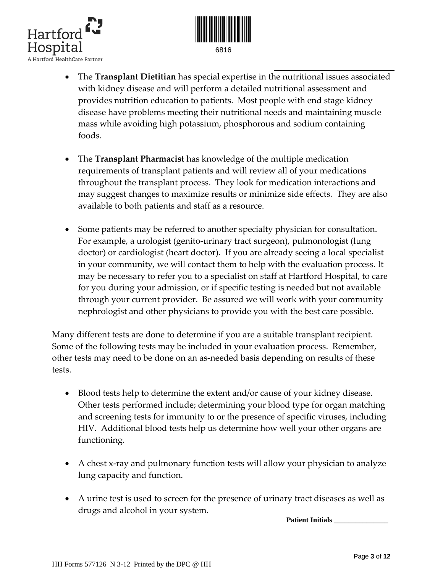



- The **Transplant Dietitian** has special expertise in the nutritional issues associated with kidney disease and will perform a detailed nutritional assessment and provides nutrition education to patients. Most people with end stage kidney disease have problems meeting their nutritional needs and maintaining muscle mass while avoiding high potassium, phosphorous and sodium containing foods.
- The **Transplant Pharmacist** has knowledge of the multiple medication requirements of transplant patients and will review all of your medications throughout the transplant process. They look for medication interactions and may suggest changes to maximize results or minimize side effects. They are also available to both patients and staff as a resource.
- Some patients may be referred to another specialty physician for consultation. For example, a urologist (genito‐urinary tract surgeon), pulmonologist (lung doctor) or cardiologist (heart doctor). If you are already seeing a local specialist in your community, we will contact them to help with the evaluation process. It may be necessary to refer you to a specialist on staff at Hartford Hospital, to care for you during your admission, or if specific testing is needed but not available through your current provider. Be assured we will work with your community nephrologist and other physicians to provide you with the best care possible.

Many different tests are done to determine if you are a suitable transplant recipient. Some of the following tests may be included in your evaluation process. Remember, other tests may need to be done on an as‐needed basis depending on results of these tests.

- Blood tests help to determine the extent and/or cause of your kidney disease. Other tests performed include; determining your blood type for organ matching and screening tests for immunity to or the presence of specific viruses, including HIV. Additional blood tests help us determine how well your other organs are functioning.
- A chest x-ray and pulmonary function tests will allow your physician to analyze lung capacity and function.
- A urine test is used to screen for the presence of urinary tract diseases as well as drugs and alcohol in your system.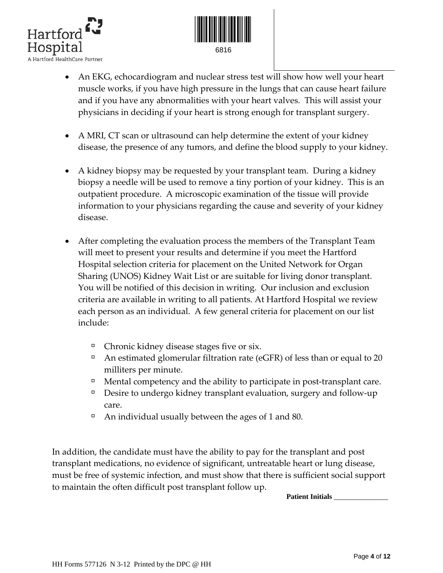



- An EKG, echocardiogram and nuclear stress test will show how well your heart muscle works, if you have high pressure in the lungs that can cause heart failure and if you have any abnormalities with your heart valves. This will assist your physicians in deciding if your heart is strong enough for transplant surgery.
- A MRI, CT scan or ultrasound can help determine the extent of your kidney disease, the presence of any tumors, and define the blood supply to your kidney.
- A kidney biopsy may be requested by your transplant team. During a kidney biopsy a needle will be used to remove a tiny portion of your kidney. This is an outpatient procedure. A microscopic examination of the tissue will provide information to your physicians regarding the cause and severity of your kidney disease.
- After completing the evaluation process the members of the Transplant Team will meet to present your results and determine if you meet the Hartford Hospital selection criteria for placement on the United Network for Organ Sharing (UNOS) Kidney Wait List or are suitable for living donor transplant. You will be notified of this decision in writing. Our inclusion and exclusion criteria are available in writing to all patients. At Hartford Hospital we review each person as an individual. A few general criteria for placement on our list include:
	- à Chronic kidney disease stages five or six.
	- $\Box$  An estimated glomerular filtration rate (eGFR) of less than or equal to 20 milliters per minute.
	- $\Box$  Mental competency and the ability to participate in post-transplant care.
	- à Desire to undergo kidney transplant evaluation, surgery and follow‐up care.
	- $\Box$  An individual usually between the ages of 1 and 80.

In addition, the candidate must have the ability to pay for the transplant and post transplant medications, no evidence of significant, untreatable heart or lung disease, must be free of systemic infection, and must show that there is sufficient social support to maintain the often difficult post transplant follow up.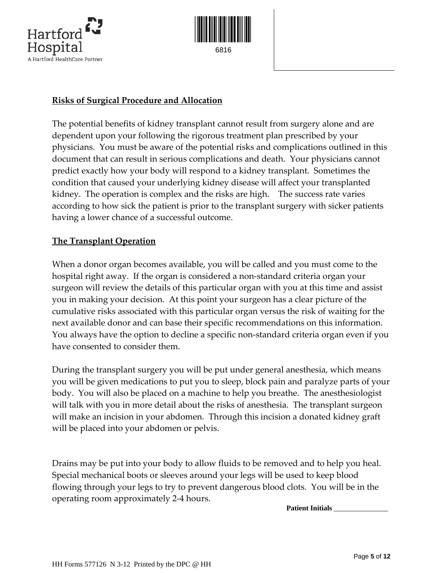



#### **Risks of Surgical Procedure and Allocation**

The potential benefits of kidney transplant cannot result from surgery alone and are dependent upon your following the rigorous treatment plan prescribed by your physicians. You must be aware of the potential risks and complications outlined in this document that can result in serious complications and death. Your physicians cannot predict exactly how your body will respond to a kidney transplant. Sometimes the condition that caused your underlying kidney disease will affect your transplanted kidney. The operation is complex and the risks are high. The success rate varies according to how sick the patient is prior to the transplant surgery with sicker patients having a lower chance of a successful outcome.

#### **The Transplant Operation**

When a donor organ becomes available, you will be called and you must come to the hospital right away. If the organ is considered a non‐standard criteria organ your surgeon will review the details of this particular organ with you at this time and assist you in making your decision. At this point your surgeon has a clear picture of the cumulative risks associated with this particular organ versus the risk of waiting for the next available donor and can base their specific recommendations on this information. You always have the option to decline a specific non-standard criteria organ even if you have consented to consider them.

During the transplant surgery you will be put under general anesthesia, which means you will be given medications to put you to sleep, block pain and paralyze parts of your body. You will also be placed on a machine to help you breathe. The anesthesiologist will talk with you in more detail about the risks of anesthesia. The transplant surgeon will make an incision in your abdomen. Through this incision a donated kidney graft will be placed into your abdomen or pelvis.

Drains may be put into your body to allow fluids to be removed and to help you heal. Special mechanical boots or sleeves around your legs will be used to keep blood flowing through your legs to try to prevent dangerous blood clots. You will be in the operating room approximately 2‐4 hours.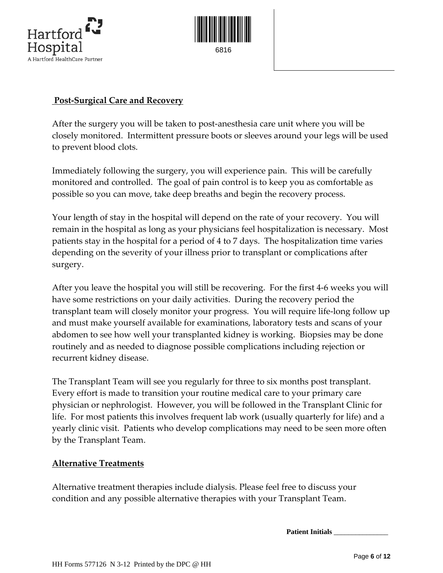



#### **Post‐Surgical Care and Recovery**

After the surgery you will be taken to post-anesthesia care unit where you will be closely monitored. Intermittent pressure boots or sleeves around your legs will be used to prevent blood clots.

Immediately following the surgery, you will experience pain. This will be carefully monitored and controlled. The goal of pain control is to keep you as comfortable as possible so you can move, take deep breaths and begin the recovery process.

Your length of stay in the hospital will depend on the rate of your recovery. You will remain in the hospital as long as your physicians feel hospitalization is necessary. Most patients stay in the hospital for a period of 4 to 7 days. The hospitalization time varies depending on the severity of your illness prior to transplant or complications after surgery.

After you leave the hospital you will still be recovering. For the first 4‐6 weeks you will have some restrictions on your daily activities. During the recovery period the transplant team will closely monitor your progress. You will require life‐long follow up and must make yourself available for examinations, laboratory tests and scans of your abdomen to see how well your transplanted kidney is working. Biopsies may be done routinely and as needed to diagnose possible complications including rejection or recurrent kidney disease.

The Transplant Team will see you regularly for three to six months post transplant. Every effort is made to transition your routine medical care to your primary care physician or nephrologist. However, you will be followed in the Transplant Clinic for life. For most patients this involves frequent lab work (usually quarterly for life) and a yearly clinic visit. Patients who develop complications may need to be seen more often by the Transplant Team.

#### **Alternative Treatments**

Alternative treatment therapies include dialysis. Please feel free to discuss your condition and any possible alternative therapies with your Transplant Team.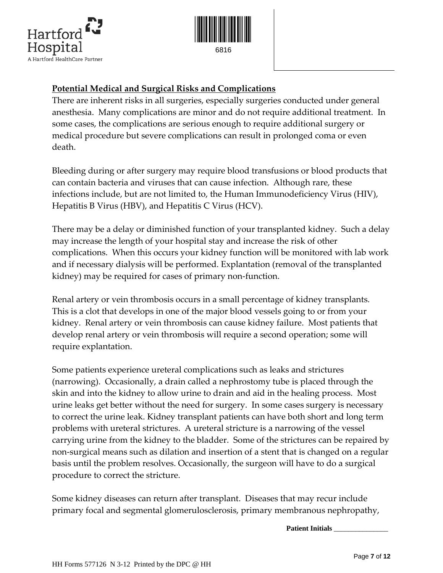



# **Potential Medical and Surgical Risks and Complications**

There are inherent risks in all surgeries, especially surgeries conducted under general anesthesia. Many complications are minor and do not require additional treatment. In some cases, the complications are serious enough to require additional surgery or medical procedure but severe complications can result in prolonged coma or even death.

Bleeding during or after surgery may require blood transfusions or blood products that can contain bacteria and viruses that can cause infection. Although rare, these infections include, but are not limited to, the Human Immunodeficiency Virus (HIV), Hepatitis B Virus (HBV), and Hepatitis C Virus (HCV).

There may be a delay or diminished function of your transplanted kidney. Such a delay may increase the length of your hospital stay and increase the risk of other complications. When this occurs your kidney function will be monitored with lab work and if necessary dialysis will be performed. Explantation (removal of the transplanted kidney) may be required for cases of primary non-function.

Renal artery or vein thrombosis occurs in a small percentage of kidney transplants. This is a clot that develops in one of the major blood vessels going to or from your kidney. Renal artery or vein thrombosis can cause kidney failure. Most patients that develop renal artery or vein thrombosis will require a second operation; some will require explantation.

Some patients experience ureteral complications such as leaks and strictures (narrowing). Occasionally, a drain called a nephrostomy tube is placed through the skin and into the kidney to allow urine to drain and aid in the healing process. Most urine leaks get better without the need for surgery. In some cases surgery is necessary to correct the urine leak. Kidney transplant patients can have both short and long term problems with ureteral strictures. A ureteral stricture is a narrowing of the vessel carrying urine from the kidney to the bladder. Some of the strictures can be repaired by non-surgical means such as dilation and insertion of a stent that is changed on a regular basis until the problem resolves. Occasionally, the surgeon will have to do a surgical procedure to correct the stricture.

Some kidney diseases can return after transplant. Diseases that may recur include primary focal and segmental glomerulosclerosis, primary membranous nephropathy,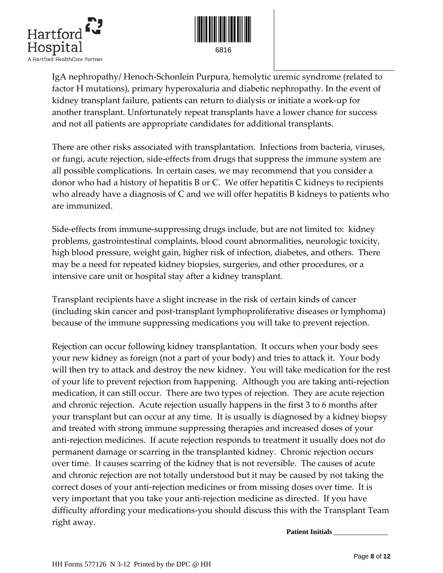



IgA nephropathy/ Henoch‐Schonlein Purpura, hemolytic uremic syndrome (related to factor H mutations), primary hyperoxaluria and diabetic nephropathy. In the event of kidney transplant failure, patients can return to dialysis or initiate a work‐up for another transplant. Unfortunately repeat transplants have a lower chance for success and not all patients are appropriate candidates for additional transplants.

There are other risks associated with transplantation. Infections from bacteria, viruses, or fungi, acute rejection, side‐effects from drugs that suppress the immune system are all possible complications. In certain cases, we may recommend that you consider a donor who had a history of hepatitis B or C. We offer hepatitis C kidneys to recipients who already have a diagnosis of C and we will offer hepatitis B kidneys to patients who are immunized.

Side-effects from immune-suppressing drugs include, but are not limited to: kidney problems, gastrointestinal complaints, blood count abnormalities, neurologic toxicity, high blood pressure, weight gain, higher risk of infection, diabetes, and others. There may be a need for repeated kidney biopsies, surgeries, and other procedures, or a intensive care unit or hospital stay after a kidney transplant.

Transplant recipients have a slight increase in the risk of certain kinds of cancer (including skin cancer and post‐transplant lymphoproliferative diseases or lymphoma) because of the immune suppressing medications you will take to prevent rejection.

Rejection can occur following kidney transplantation. It occurs when your body sees your new kidney as foreign (not a part of your body) and tries to attack it. Your body will then try to attack and destroy the new kidney. You will take medication for the rest of your life to prevent rejection from happening. Although you are taking anti‐rejection medication, it can still occur. There are two types of rejection. They are acute rejection and chronic rejection. Acute rejection usually happens in the first 3 to 6 months after your transplant but can occur at any time. It is usually is diagnosed by a kidney biopsy and treated with strong immune suppressing therapies and increased doses of your anti-rejection medicines. If acute rejection responds to treatment it usually does not do permanent damage or scarring in the transplanted kidney. Chronic rejection occurs over time. It causes scarring of the kidney that is not reversible. The causes of acute and chronic rejection are not totally understood but it may be caused by not taking the correct doses of your anti‐rejection medicines or from missing doses over time. It is very important that you take your anti‐rejection medicine as directed. If you have difficulty affording your medications‐you should discuss this with the Transplant Team right away.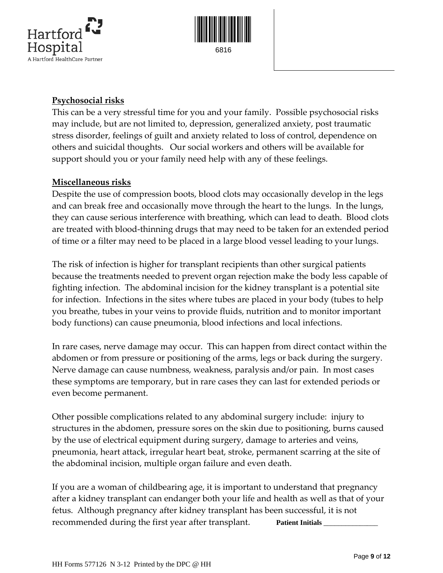



### **Psychosocial risks**

This can be a very stressful time for you and your family. Possible psychosocial risks may include, but are not limited to, depression, generalized anxiety, post traumatic stress disorder, feelings of guilt and anxiety related to loss of control, dependence on others and suicidal thoughts. Our social workers and others will be available for support should you or your family need help with any of these feelings.

#### **Miscellaneous risks**

Despite the use of compression boots, blood clots may occasionally develop in the legs and can break free and occasionally move through the heart to the lungs. In the lungs, they can cause serious interference with breathing, which can lead to death. Blood clots are treated with blood‐thinning drugs that may need to be taken for an extended period of time or a filter may need to be placed in a large blood vessel leading to your lungs.

The risk of infection is higher for transplant recipients than other surgical patients because the treatments needed to prevent organ rejection make the body less capable of fighting infection. The abdominal incision for the kidney transplant is a potential site for infection. Infections in the sites where tubes are placed in your body (tubes to help you breathe, tubes in your veins to provide fluids, nutrition and to monitor important body functions) can cause pneumonia, blood infections and local infections.

In rare cases, nerve damage may occur. This can happen from direct contact within the abdomen or from pressure or positioning of the arms, legs or back during the surgery. Nerve damage can cause numbness, weakness, paralysis and/or pain. In most cases these symptoms are temporary, but in rare cases they can last for extended periods or even become permanent.

Other possible complications related to any abdominal surgery include:injury to structures in the abdomen, pressure sores on the skin due to positioning, burns caused by the use of electrical equipment during surgery, damage to arteries and veins, pneumonia, heart attack, irregular heart beat, stroke, permanent scarring at the site of the abdominal incision, multiple organ failure and even death.

If you are a woman of childbearing age, it is important to understand that pregnancy after a kidney transplant can endanger both your life and health as well as that of your fetus. Although pregnancy after kidney transplant has been successful, it is not recommended during the first year after transplant. **Patient Initials**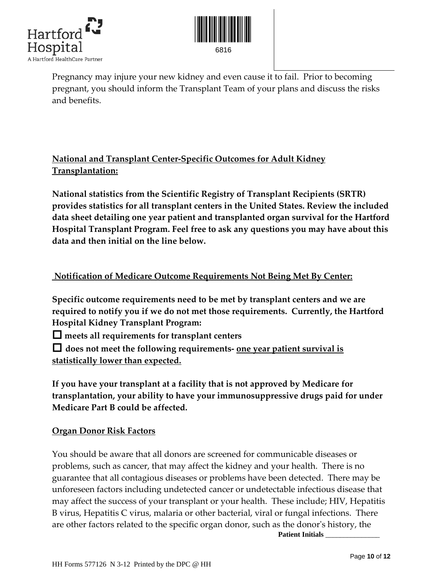



Pregnancy may injure your new kidney and even cause it to fail. Prior to becoming pregnant, you should inform the Transplant Team of your plans and discuss the risks and benefits.

# **National and Transplant Center‐Specific Outcomes for Adult Kidney Transplantation:**

**National statistics from the Scientific Registry of Transplant Recipients (SRTR) provides statistics for all transplant centers in the United States. Review the included data sheet detailing one year patient and transplanted organ survival for the Hartford Hospital Transplant Program. Feel free to ask any questions you may have about this data and then initial on the line below.** 

# **Notification of Medicare Outcome Requirements Not Being Met By Center:**

**Specific outcome requirements need to be met by transplant centers and we are required to notify you if we do not met those requirements. Currently, the Hartford Hospital Kidney Transplant Program:**

**meets all requirements for transplant centers** 

 **does not meet the following requirements‐ one year patient survival is statistically lower than expected.**

**If you have your transplant at a facility that is not approved by Medicare for transplantation, your ability to have your immunosuppressive drugs paid for under Medicare Part B could be affected.**

# **Organ Donor Risk Factors**

You should be aware that all donors are screened for communicable diseases or problems, such as cancer, that may affect the kidney and your health. There is no guarantee that all contagious diseases or problems have been detected. There may be unforeseen factors including undetected cancer or undetectable infectious disease that may affect the success of your transplant or your health. These include; HIV, Hepatitis B virus, Hepatitis C virus, malaria or other bacterial, viral or fungal infections. There are other factors related to the specific organ donor, such as the donor's history, the  **Patient Initials** *\_\_\_\_\_\_\_\_\_\_\_\_\_\_\_*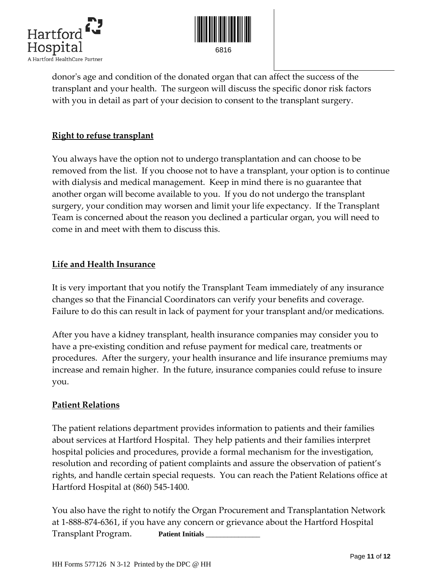



donorʹs age and condition of the donated organ that can affect the success of the transplant and your health. The surgeon will discuss the specific donor risk factors with you in detail as part of your decision to consent to the transplant surgery.

# **Right to refuse transplant**

You always have the option not to undergo transplantation and can choose to be removed from the list. If you choose not to have a transplant, your option is to continue with dialysis and medical management. Keep in mind there is no guarantee that another organ will become available to you. If you do not undergo the transplant surgery, your condition may worsen and limit your life expectancy. If the Transplant Team is concerned about the reason you declined a particular organ, you will need to come in and meet with them to discuss this.

#### **Life and Health Insurance**

It is very important that you notify the Transplant Team immediately of any insurance changes so that the Financial Coordinators can verify your benefits and coverage. Failure to do this can result in lack of payment for your transplant and/or medications.

After you have a kidney transplant, health insurance companies may consider you to have a pre‐existing condition and refuse payment for medical care, treatments or procedures. After the surgery, your health insurance and life insurance premiums may increase and remain higher. In the future, insurance companies could refuse to insure you.

#### **Patient Relations**

The patient relations department provides information to patients and their families about services at Hartford Hospital. They help patients and their families interpret hospital policies and procedures, provide a formal mechanism for the investigation, resolution and recording of patient complaints and assure the observation of patient's rights, and handle certain special requests. You can reach the Patient Relations office at Hartford Hospital at (860) 545‐1400.

You also have the right to notify the Organ Procurement and Transplantation Network at 1‐888‐874‐6361, if you have any concern or grievance about the Hartford Hospital Transplant Program. **Patient Initials** *\_\_\_\_\_\_\_\_\_\_\_\_\_\_\_*